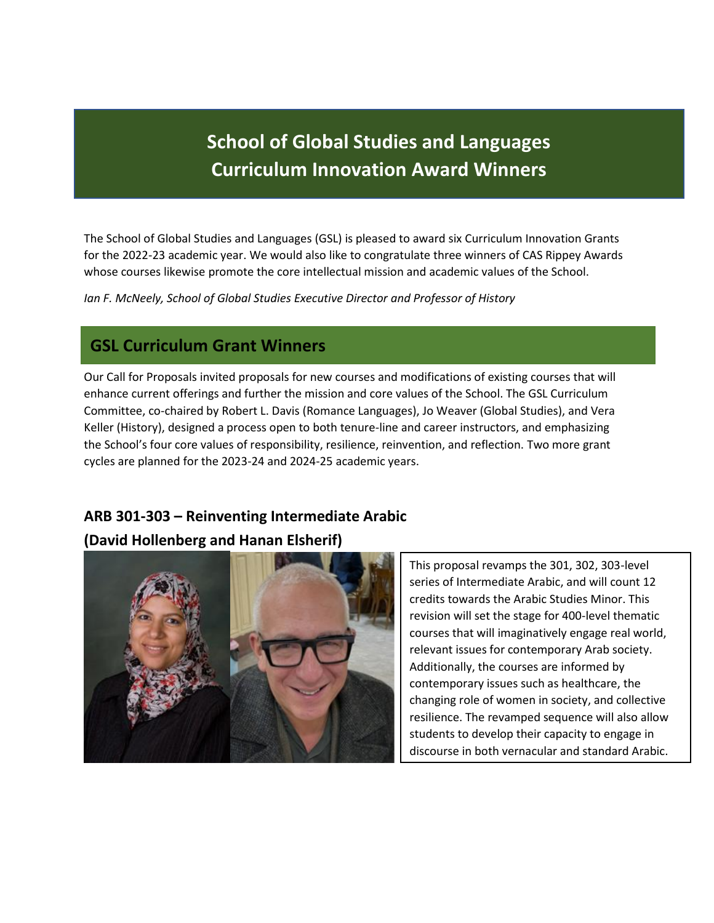# **School of Global Studies and Languages Curriculum Innovation Award Winners**

ī

The School of Global Studies and Languages (GSL) is pleased to award six Curriculum Innovation Grants for the 2022-23 academic year. We would also like to congratulate three winners of CAS Rippey Awards whose courses likewise promote the core intellectual mission and academic values of the School.

*Ian F. McNeely, School of Global Studies Executive Director and Professor of History*

# **GSL Curriculum Grant Winners**

Our Call for Proposals invited proposals for new courses and modifications of existing courses that will enhance current offerings and further the mission and core values of the School. The GSL Curriculum Committee, co-chaired by Robert L. Davis (Romance Languages), Jo Weaver (Global Studies), and Vera Keller (History), designed a process open to both tenure-line and career instructors, and emphasizing the School's four core values of responsibility, resilience, reinvention, and reflection. Two more grant cycles are planned for the 2023-24 and 2024-25 academic years.

# **ARB 301-303 – Reinventing Intermediate Arabic (David Hollenberg and Hanan Elsherif)**



This proposal revamps the 301, 302, 303-level series of Intermediate Arabic, and will count 12 credits towards the Arabic Studies Minor. This revision will set the stage for 400-level thematic courses that will imaginatively engage real world, relevant issues for contemporary Arab society. Additionally, the courses are informed by contemporary issues such as healthcare, the changing role of women in society, and collective resilience. The revamped sequence will also allow students to develop their capacity to engage in discourse in both vernacular and standard Arabic.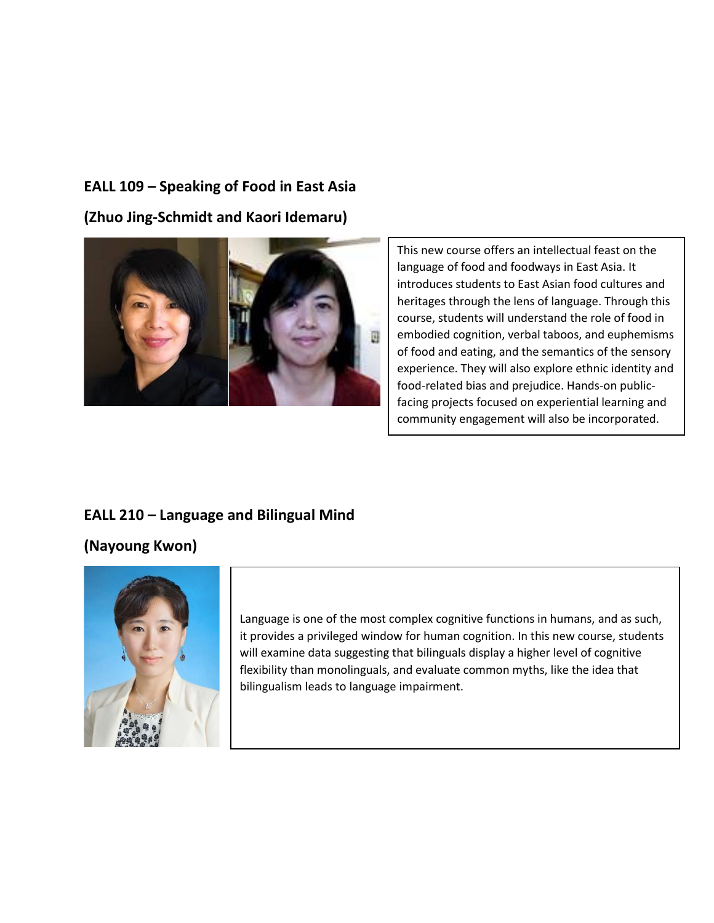### **EALL 109 – Speaking of Food in East Asia**

**(Zhuo Jing-Schmidt and Kaori Idemaru)**



This new course offers an intellectual feast on the language of food and foodways in East Asia. It introduces students to East Asian food cultures and heritages through the lens of language. Through this course, students will understand the role of food in embodied cognition, verbal taboos, and euphemisms of food and eating, and the semantics of the sensory experience. They will also explore ethnic identity and food-related bias and prejudice. Hands-on publicfacing projects focused on experiential learning and community engagement will also be incorporated.

# **EALL 210 – Language and Bilingual Mind**

#### **(Nayoung Kwon)**



Language is one of the most complex cognitive functions in humans, and as such, it provides a privileged window for human cognition. In this new course, students will examine data suggesting that bilinguals display a higher level of cognitive flexibility than monolinguals, and evaluate common myths, like the idea that bilingualism leads to language impairment.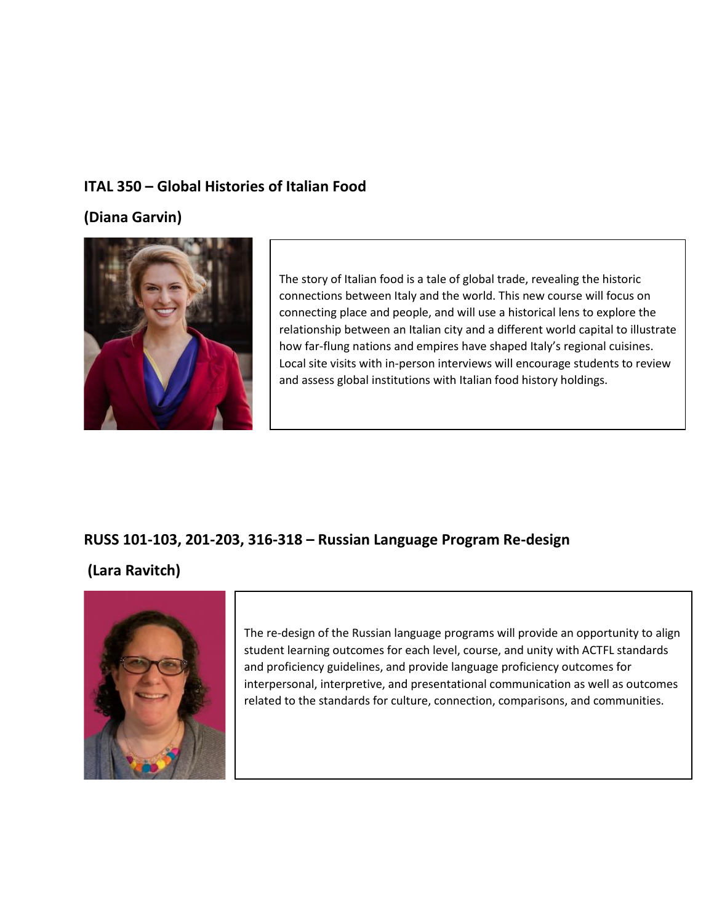### **ITAL 350 – Global Histories of Italian Food**

**(Diana Garvin)**



The story of Italian food is a tale of global trade, revealing the historic connections between Italy and the world. This new course will focus on connecting place and people, and will use a historical lens to explore the relationship between an Italian city and a different world capital to illustrate how far-flung nations and empires have shaped Italy's regional cuisines. Local site visits with in-person interviews will encourage students to review and assess global institutions with Italian food history holdings.

### **RUSS 101-103, 201-203, 316-318 – Russian Language Program Re-design**

#### **(Lara Ravitch)**



The re-design of the Russian language programs will provide an opportunity to align student learning outcomes for each level, course, and unity with ACTFL standards and proficiency guidelines, and provide language proficiency outcomes for interpersonal, interpretive, and presentational communication as well as outcomes related to the standards for culture, connection, comparisons, and communities.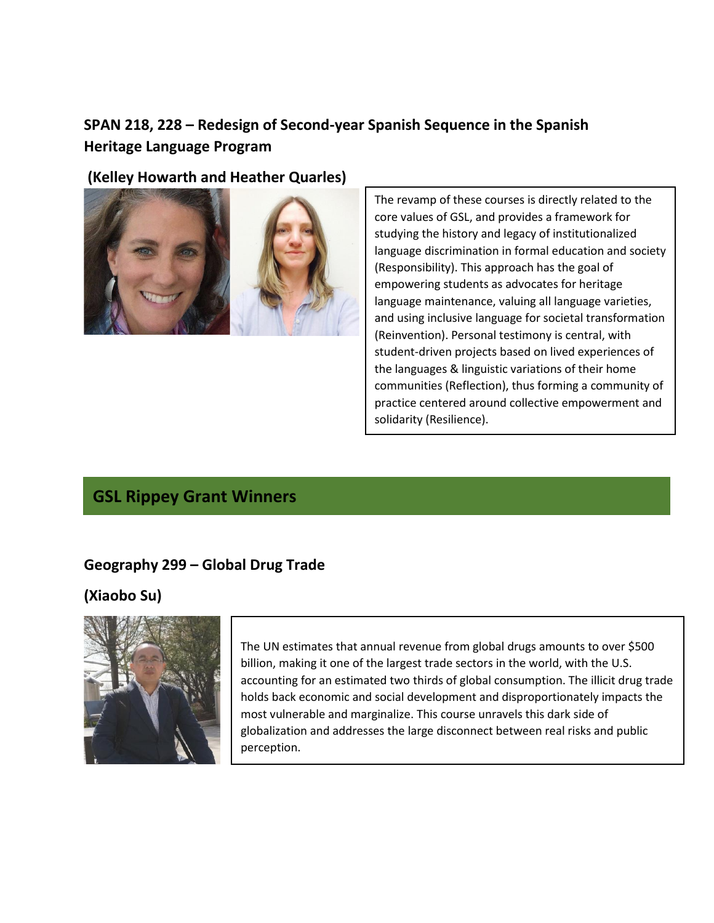# **SPAN 218, 228 – Redesign of Second-year Spanish Sequence in the Spanish Heritage Language Program**

### **(Kelley Howarth and Heather Quarles)**



The revamp of these courses is directly related to the core values of GSL, and provides a framework for studying the history and legacy of institutionalized language discrimination in formal education and society (Responsibility). This approach has the goal of empowering students as advocates for heritage language maintenance, valuing all language varieties, and using inclusive language for societal transformation (Reinvention). Personal testimony is central, with student-driven projects based on lived experiences of the languages & linguistic variations of their home communities (Reflection), thus forming a community of practice centered around collective empowerment and solidarity (Resilience).

# **GSL Rippey Grant Winners**

### **Geography 299 – Global Drug Trade**

# **(Xiaobo Su)**



The UN estimates that annual revenue from global drugs amounts to over \$500 billion, making it one of the largest trade sectors in the world, with the U.S. accounting for an estimated two thirds of global consumption. The illicit drug trade holds back economic and social development and disproportionately impacts the most vulnerable and marginalize. This course unravels this dark side of globalization and addresses the large disconnect between real risks and public perception.